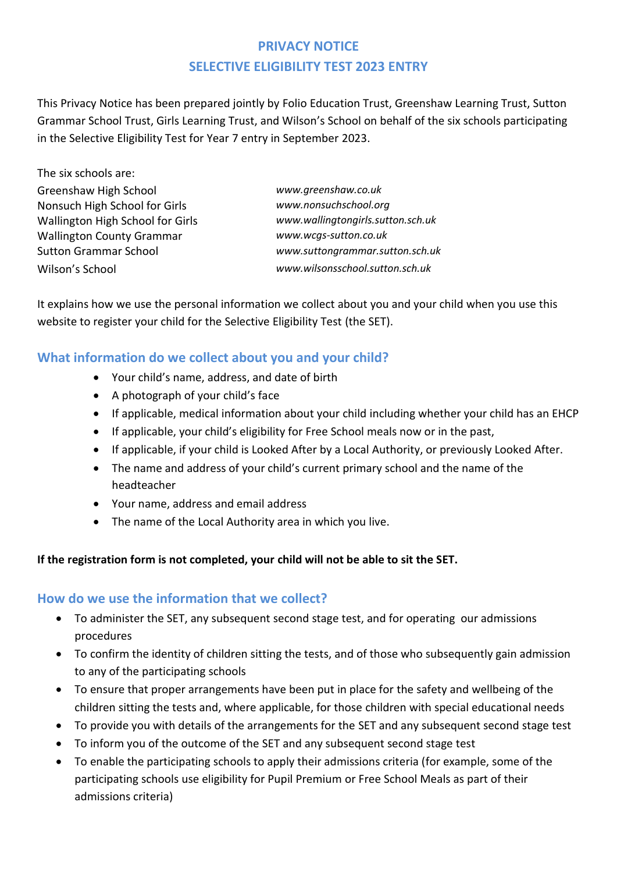# **PRIVACY NOTICE SELECTIVE ELIGIBILITY TEST 2023 ENTRY**

This Privacy Notice has been prepared jointly by Folio Education Trust, Greenshaw Learning Trust, Sutton Grammar School Trust, Girls Learning Trust, and Wilson's School on behalf of the six schools participating in the Selective Eligibility Test for Year 7 entry in September 2023.

| The six schools are:                    |                                   |
|-----------------------------------------|-----------------------------------|
| Greenshaw High School                   | www.greenshaw.co.uk               |
| Nonsuch High School for Girls           | www.nonsuchschool.org             |
| <b>Wallington High School for Girls</b> | www.wallingtongirls.sutton.sch.uk |
| <b>Wallington County Grammar</b>        | www.wcgs-sutton.co.uk             |
| <b>Sutton Grammar School</b>            | www.suttongrammar.sutton.sch.uk   |
| Wilson's School                         | www.wilsonsschool.sutton.sch.uk   |
|                                         |                                   |

It explains how we use the personal information we collect about you and your child when you use this website to register your child for the Selective Eligibility Test (the SET).

### **What information do we collect about you and your child?**

- Your child's name, address, and date of birth
- A photograph of your child's face
- If applicable, medical information about your child including whether your child has an EHCP
- If applicable, your child's eligibility for Free School meals now or in the past,
- If applicable, if your child is Looked After by a Local Authority, or previously Looked After.
- The name and address of your child's current primary school and the name of the headteacher
- Your name, address and email address
- The name of the Local Authority area in which you live.

#### **If the registration form is not completed, your child will not be able to sit the SET.**

#### **How do we use the information that we collect?**

- To administer the SET, any subsequent second stage test, and for operating our admissions procedures
- To confirm the identity of children sitting the tests, and of those who subsequently gain admission to any of the participating schools
- To ensure that proper arrangements have been put in place for the safety and wellbeing of the children sitting the tests and, where applicable, for those children with special educational needs
- To provide you with details of the arrangements for the SET and any subsequent second stage test
- To inform you of the outcome of the SET and any subsequent second stage test
- To enable the participating schools to apply their admissions criteria (for example, some of the participating schools use eligibility for Pupil Premium or Free School Meals as part of their admissions criteria)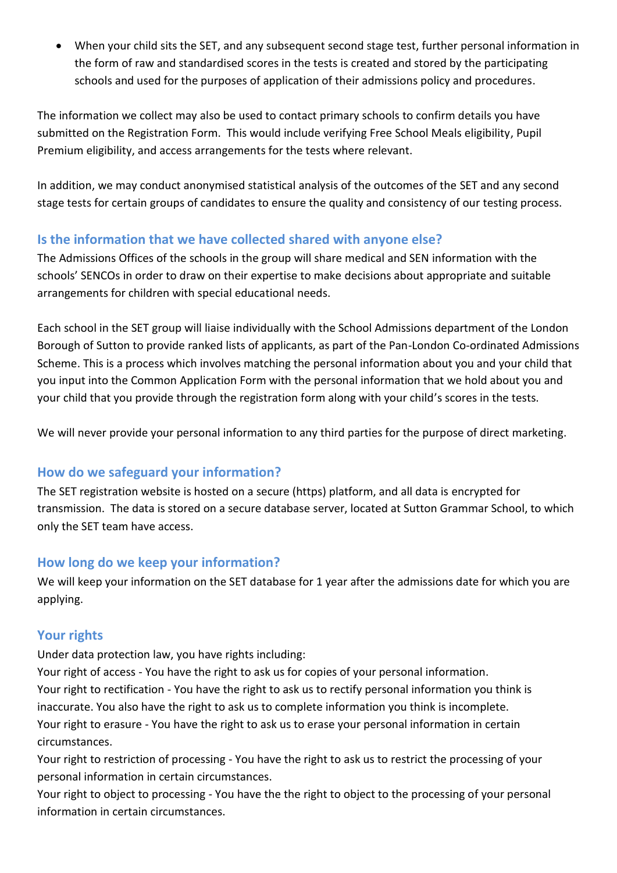When your child sits the SET, and any subsequent second stage test, further personal information in the form of raw and standardised scores in the tests is created and stored by the participating schools and used for the purposes of application of their admissions policy and procedures.

The information we collect may also be used to contact primary schools to confirm details you have submitted on the Registration Form. This would include verifying Free School Meals eligibility, Pupil Premium eligibility, and access arrangements for the tests where relevant.

In addition, we may conduct anonymised statistical analysis of the outcomes of the SET and any second stage tests for certain groups of candidates to ensure the quality and consistency of our testing process.

### **Is the information that we have collected shared with anyone else?**

The Admissions Offices of the schools in the group will share medical and SEN information with the schools' SENCOs in order to draw on their expertise to make decisions about appropriate and suitable arrangements for children with special educational needs.

Each school in the SET group will liaise individually with the School Admissions department of the London Borough of Sutton to provide ranked lists of applicants, as part of the Pan-London Co-ordinated Admissions Scheme. This is a process which involves matching the personal information about you and your child that you input into the Common Application Form with the personal information that we hold about you and your child that you provide through the registration form along with your child's scores in the tests.

We will never provide your personal information to any third parties for the purpose of direct marketing.

## **How do we safeguard your information?**

The SET registration website is hosted on a secure (https) platform, and all data is encrypted for transmission. The data is stored on a secure database server, located at Sutton Grammar School, to which only the SET team have access.

## **How long do we keep your information?**

We will keep your information on the SET database for 1 year after the admissions date for which you are applying.

## **Your rights**

Under data protection law, you have rights including:

Your right of access - You have the right to ask us for copies of your personal information. Your right to rectification - You have the right to ask us to rectify personal information you think is inaccurate. You also have the right to ask us to complete information you think is incomplete. Your right to erasure - You have the right to ask us to erase your personal information in certain circumstances.

Your right to restriction of processing - You have the right to ask us to restrict the processing of your personal information in certain circumstances.

Your right to object to processing - You have the the right to object to the processing of your personal information in certain circumstances.